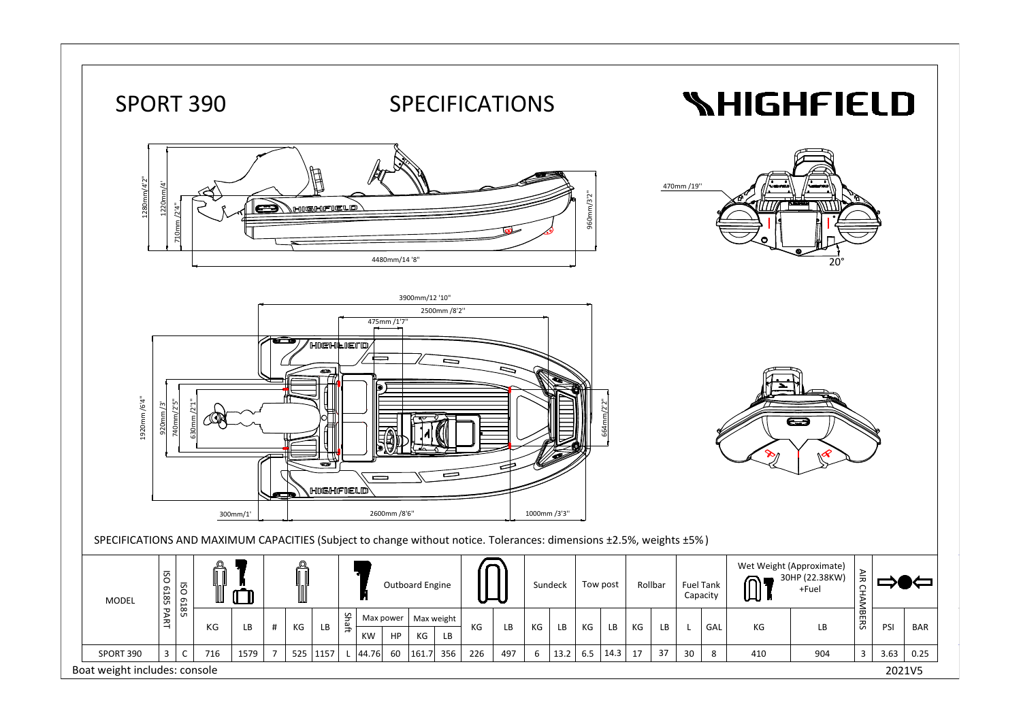